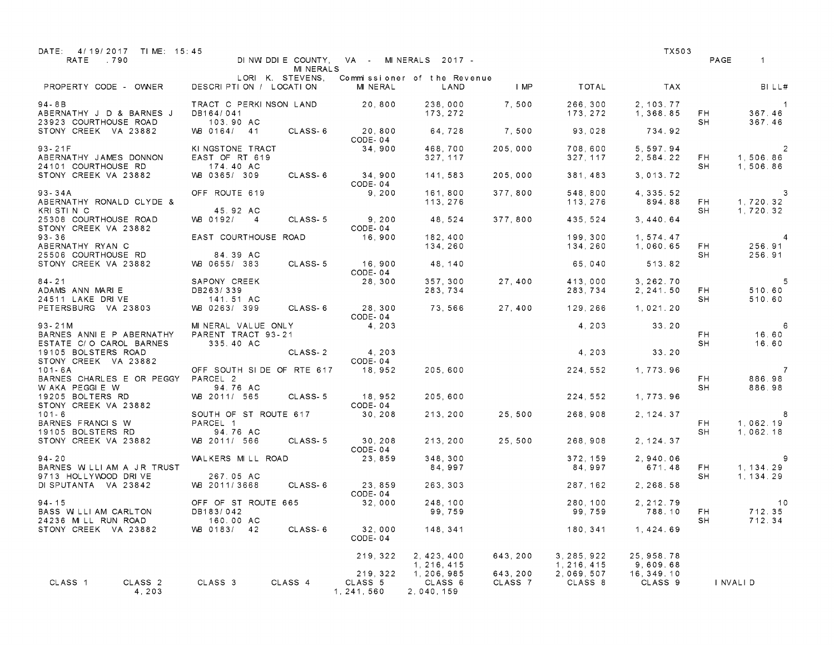| DATE: 4/19/2017 TIME: 15:45<br>RATE .790                           |                                                       | <b>MINERALS</b>  |                                    | DINWIDDIE COUNTY, VA - MINERALS 2017 - |                     |                            | TX503                   |                  | PAGE<br>$\mathbf{1}$                   |
|--------------------------------------------------------------------|-------------------------------------------------------|------------------|------------------------------------|----------------------------------------|---------------------|----------------------------|-------------------------|------------------|----------------------------------------|
| PROPERTY CODE - OWNER                                              | DESCRIPTION / LOCATION                                | LORI K. STEVENS. | MINERAL                            | Commissioner of the Revenue<br>LAND    | <b>I</b> MP         | TOTAL                      | <b>TAX</b>              |                  | BILL#                                  |
| $94 - 8B$<br>ABERNATHY J D & BARNES J<br>23923 COURTHOUSE ROAD     | TRACT C PERKINSON LAND<br>DB164/041<br>103.90 AC      |                  | 20,800                             | 238,000<br>173, 272                    | 7,500               | 266,300<br>173, 272        | 2, 103, 77<br>1, 368.85 | - FH<br>SH       | $\sim$ 1<br>367.46<br>367.46           |
| STONY CREEK VA 23882                                               | WB 0164/ 41                                           | CLASS-6          | 20,800<br>CODE-04                  | 64,728                                 | 7,500               | 93,028                     | 734.92                  |                  |                                        |
| $93 - 21F$<br>ABERNATHY JAMES DONNON<br>24101 COURTHOUSE RD        | KI NGSTONE TRACT<br>EAST OF RT 619<br>174.40 AC       |                  | 34,900                             | 468,700<br>327, 117                    | 205.000             | 708,600<br>327, 117        | 5, 597.94<br>2,584.22   | <b>FH</b><br>SH. | $\overline{2}$<br>1,506.86<br>1,506.86 |
| STONY CREEK VA 23882                                               | VVB 0365/ 309                                         | CLASS-6          | 34,900<br>CODE-04                  | 141, 583                               | 205,000             | 381, 483                   | 3, 013. 72              |                  |                                        |
| $93 - 34A$<br>ABERNATHY RONALD CLYDE &<br>KRISTIN C                | OFF ROUTE 619<br>45.92 AC                             |                  | 9, 200                             | 161,800<br>113, 276                    | 377,800             | 548,800<br>113, 276        | 4, 335. 52<br>894.88    | <b>FH</b><br>SH. | $\sim$ 3<br>1,720.32<br>1,720.32       |
| 25308 COURTHOUSE ROAD<br>STONY CREEK VA 23882                      | VVB 0192/ 4                                           | CLASS-5          | 9, 200<br>CODE-04                  | 48,524                                 | 377,800             | 435,524                    | 3,440.64                |                  |                                        |
| $93 - 36$<br>ABERNATHY RYAN C<br>25506 COURTHOUSE RD               | EAST COURTHOUSE ROAD<br>84.39 AC                      |                  | 16,900                             | 182,400<br>134,260                     |                     | 199,300<br>134,260         | 1,574.47<br>1,060.65    | <b>FH</b><br>SH. | 4<br>256.91<br>256.91                  |
| STONY CREEK VA 23882                                               | VMB 0655/383                                          | CLASS-5          | 16,900<br>CODE-04                  | 48, 140                                |                     | 65,040                     | 513.82                  |                  |                                        |
| $84 - 21$<br>ADAMS ANN MARIE<br>24511 LAKE DRIVE                   | SAPONY CREEK<br>DB263/339<br>141.51 AC                |                  | 28,300                             | 357,300<br>283,734                     | 27,400              | 413.000<br>283,734         | 3, 262, 70<br>2, 241.50 | FH.<br>SH        | $-5$<br>510.60<br>510.60               |
| PETERSBURG VA 23803                                                | VMB 0263/ 399                                         |                  | CLASS-6 28, 300<br>CODE-04         | 73,566                                 | 27,400              | 129,266                    | 1,021.20                |                  |                                        |
| $93 - 21M$<br>BARNES ANNIE P ABERNATHY<br>ESTATE C/O CAROL BARNES  | MINERAL VALUE ONLY<br>PARENT TRACT 93-21<br>335.40 AC |                  | 4, 203                             |                                        |                     | 4,203                      | 33.20                   | FH.<br>SH        | 6<br>16.60<br>16.60                    |
| 19105 BOLSTERS ROAD<br>STONY CREEK VA 23882                        |                                                       | CLASS-2          | 4, 203<br>CODE-04                  |                                        |                     | 4,203                      | 33.20                   |                  |                                        |
| $101 - 6A$<br>BARNES CHARLES E OR PEGGY PARCEL 2<br>W AKA PEGGIE W | OFF SOUTH SIDE OF RTE 617 18, 952<br>94.76 AC         |                  |                                    | 205,600                                |                     | 224,552                    | 1,773.96                | FH.<br>SH        | $\overline{7}$<br>886.98<br>886.98     |
| 19205 BOLTERS RD<br>STONY CREEK VA 23882                           | VVB 2011/ 565                                         | CLASS-5          | 18,952<br>CODE-04                  | 205,600                                |                     | 224, 552                   | 1,773.96                |                  |                                        |
| $101 - 6$<br>BARNES FRANCIS W<br>19105 BOLSTERS RD                 | SOUTH OF ST ROUTE 617<br>PARCEL 1<br>94.76 AC         |                  | 30, 208                            | 213, 200                               | 25,500              | 268,908                    | 2, 124, 37              | FH.<br>SH        | -8<br>1,062.19<br>1,062,18             |
| STONY CREEK VA 23882                                               | VVB 2011/ 566                                         | CLASS-5          | 30, 208<br>CODE-04                 | 213, 200                               | 25,500              | 268,908                    | 2, 124, 37              |                  |                                        |
| $94 - 20$<br>BARNES W LLI AM A JR TRUST<br>9713 HOLLYWOOD DRIVE    | WALKERS MILL ROAD<br>267.05 AC                        |                  | 23,859                             | 348, 300<br>84.997                     |                     | 372, 159<br>84,997         | 2,940.06<br>671.48      | <b>FH</b><br>SH. | -9<br>1, 134. 29<br>1 , 134 . 29       |
| DI SPUTANTA VA 23842                                               | WB 2011/3668                                          | CLASS-6          | 23, 859<br>CODE-04                 | 263, 303                               |                     | 287, 162                   | 2.268.58                |                  |                                        |
| $94 - 15$<br>BASS WILLIAM CARLTON                                  | OFF OF ST ROUTE 665<br>DB183/042                      |                  | 32,000                             | 248,100<br>99,759                      |                     | 280, 100<br>99,759         | 2, 212.79<br>788.10     | <b>FH</b>        | 10<br>712.35                           |
| 24236 MILL RUN ROAD<br>STONY CREEK VA 23882                        | 160.00 AC<br>WB 0183/ 42                              | CLASS-6          | 32,000<br>CODE-04                  | 148, 341                               |                     | 180, 341                   | 1, 424.69               | SH               | 712.34                                 |
|                                                                    |                                                       |                  | 219, 322                           | 2, 423, 400<br>1, 216, 415             | 643, 200            | 3, 285, 922<br>1, 216, 415 | 25, 958. 78<br>9.609.68 |                  |                                        |
| CLASS 1<br>CLASS <sub>2</sub><br>4,203                             | CLASS 3                                               | CLASS 4          | 219, 322<br>CLASS 5<br>1, 241, 560 | 1, 206, 985<br>CLASS 6<br>2,040,159    | 643, 200<br>CLASS 7 | 2,069,507<br>CLASS 8       | 16, 349. 10<br>CLASS 9  |                  | I NVALI D                              |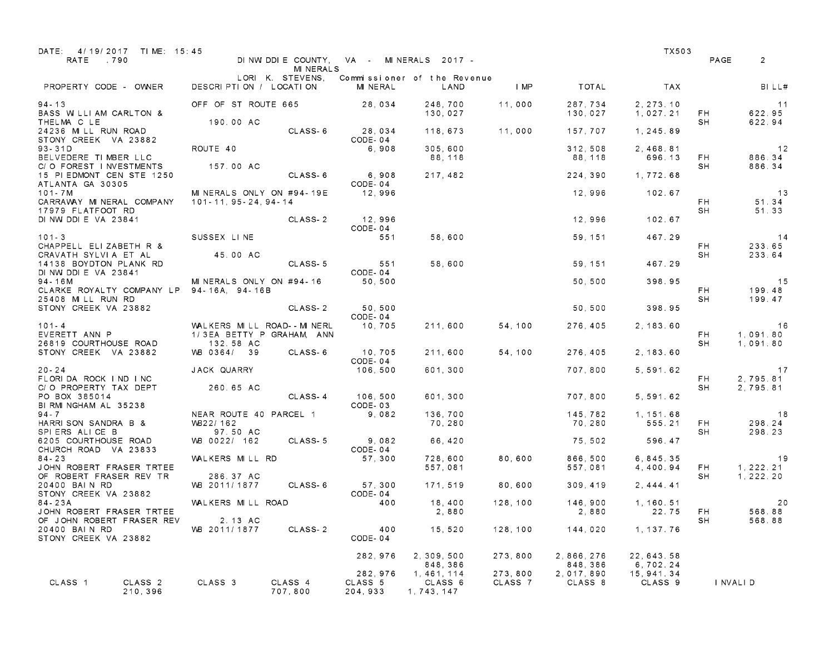| DATE: 4/19/2017 TIME: 15:45<br>RATE<br>.790                                                    |                                                                     | <b>MINERALS</b>    |                                 | DINWIDDIE COUNTY, VA - MINERALS 2017 - |                    |                        | TX503                   | PAGE      | $\overline{2}$             |
|------------------------------------------------------------------------------------------------|---------------------------------------------------------------------|--------------------|---------------------------------|----------------------------------------|--------------------|------------------------|-------------------------|-----------|----------------------------|
| PROPERTY CODE - OWNER                                                                          | DESCRIPTION / LOCATION                                              | LORI K. STEVENS,   | MINERAL                         | Commissioner of the Revenue<br>LAND    | I MP               | TOTAL                  | <b>TAX</b>              |           | BILL#                      |
| $94 - 13$<br>BASS WILLIAM CARLTON &                                                            | OFF OF ST ROUTE 665                                                 |                    | 28,034                          | 248,700<br>130,027                     | 11,000             | 287,734<br>130,027     | 2, 273.10<br>1,027.21   | FH        | - 11<br>622.95             |
| THELMA C LE<br>24236 MILL RUN ROAD<br>STONY CREEK VA 23882                                     | 190.00 AC                                                           | CLASS-6            | 28,034<br>CODE-04               | 118,673                                | 11,000             | 157,707                | 1, 245.89               | SH        | 622.94                     |
| $93 - 31D$<br>BELVEDERE TIMBER LLC<br>C/O FOREST INVESTMENTS                                   | ROUTE 40<br>157.00 AC                                               |                    | 6,908                           | 305.600<br>88,118                      |                    | 312.508<br>88,118      | 2,468.81<br>696.13      | FH<br>SH  | 12<br>886.34<br>886.34     |
| 15 PIEDMONT CEN STE 1250<br>ATLANTA GA 30305<br>101 - 7 M                                      | MINERALS ONLY ON #94-19E                                            | CLASS-6            | 6,908<br>CODE-04<br>12,996      | 217, 482                               |                    | 224,390                | 1,772.68<br>102.67      |           |                            |
| CARRAWAY MINERAL COMPANY<br>17979 FLATFOOT RD                                                  | 101-11, 95-24, 94-14                                                |                    |                                 |                                        |                    | 12,996                 |                         | FH.<br>SH | 13<br>51.34<br>51.33       |
| DINW DDIE VA 23841<br>$101 - 3$                                                                | SUSSEX LINE                                                         | CLASS-2            | 12,996<br>CODE-04<br>551        | 58,600                                 |                    | 12,996<br>59, 151      | 102.67<br>467.29        |           | 14                         |
| CHAPPELL ELIZABETH R &<br>CRAVATH SYLVIA ET AL<br>14138 BOYDTON PLANK RD                       | 45.00 AC                                                            | CLASS-5            | 551                             | 58,600                                 |                    | 59, 151                | 467.29                  | FH.<br>SH | 233.65<br>233.64           |
| DINW DDIE VA 23841<br>$94 - 16M$<br>CLARKE ROYALTY COMPANY LP 94-16A, 94-16B                   | MINERALS ONLY ON #94-16                                             |                    | CODE-04<br>50,500               |                                        |                    | 50,500                 | 398.95                  | FH.       | 15<br>199.48               |
| 25408 MILL RUN RD<br>STONY CREEK VA 23882                                                      |                                                                     | CLASS-2            | 50, 500<br>CODE-04              |                                        |                    | 50.500                 | 398.95                  | SH        | 199.47                     |
| $101 - 4$<br>EVERETT ANN P<br>26819 COURTHOUSE ROAD                                            | WALKERS MILL ROAD--MINERL<br>1/3EA BETTY P GRAHAM, ANN<br>132.58 AC |                    | 10,705                          | 211,600                                | 54, 100            | 276,405                | 2, 183.60               | FH.<br>SH | 16<br>1.091.80<br>1,091.80 |
| STONY CREEK VA 23882                                                                           | VVB 0364/ 39                                                        | CLASS 6            | 10,705<br>CODE-04               | 211,600                                | 54,100             | 276, 405               | 2, 183.60               |           |                            |
| $20 - 24$<br>FLORIDA ROCK IND INC<br>C/O PROPERTY TAX DEPT                                     | JACK QUARRY<br>260.65 AC                                            |                    | 106,500                         | 601, 300                               |                    | 707,800                | 5, 591. 62              | FH.<br>SH | 17<br>2,795.81<br>2,795.81 |
| PO BOX 385014<br>BI RMI NGHAM AL 35238<br>$94 - 7$                                             | NEAR ROUTE 40 PARCEL 1                                              | CLASS-4            | 106,500<br>CODE-03<br>9,082     | 601, 300<br>136,700                    |                    | 707,800<br>145,782     | 5, 591.62<br>1, 151. 68 |           | - 18                       |
| HARRISON SANDRA B &<br>SPIERS ALICE B                                                          | WB22/162<br>97.50 AC                                                |                    |                                 | 70,280                                 |                    | 70,280                 | 555.21                  | FH<br>SH  | 298.24<br>298.23           |
| 6205 COURTHOUSE ROAD<br>CHURCH ROAD VA 23833<br>$84 - 23$                                      | WB 0022/ 162<br>WALKERS MILL RD                                     | CLASS 5            | 9,082<br>CODE-04<br>57,300      | 66,420<br>728,600                      | 80,600             | 75,502<br>866,500      | 596.47<br>6, 845, 35    |           | 19                         |
| JOHN ROBERT FRASER TRTEE<br>OF ROBERT FRASER REV TR                                            | 286.37 AC                                                           |                    |                                 | 557,081                                |                    | 557,081                | 4,400.94                | FH.<br>SH | 1, 222. 21<br>1, 222, 20   |
| 20400 BAIN RD<br>STONY CREEK VA 23882<br>84-23A                                                | VVB 2011/1877<br>WALKERS MILL ROAD                                  | CLASS-6            | 57, 300<br>CODE-04<br>400       | 171, 519<br>18,400                     | 80,600<br>128,100  | 309, 419<br>146,900    | 2.444.41<br>1, 160. 51  |           | 20                         |
| JOHN ROBERT FRASER TRTEE<br>OF JOHN ROBERT FRASER REV<br>20400 BAIN RD<br>STONY CREEK VA 23882 | 2.13 AC<br>WB 2011/1877                                             | CLASS-2            | 400<br>CODE-04                  | 2,880<br>15,520                        | 128,100            | 2,880<br>144,020       | 22.75<br>1, 137.76      | FH<br>SH  | 568.88<br>568.88           |
|                                                                                                |                                                                     |                    | 282,976                         | 2, 309, 500<br>848, 386                | 273,800            | 2, 866, 276<br>848,386 | 22, 643. 58<br>6,702.24 |           |                            |
| CLASS 1<br>CLASS <sub>2</sub><br>210, 396                                                      | CLASS 3                                                             | CLASS 4<br>707,800 | 282, 976<br>CLASS 5<br>204, 933 | 1, 461, 114<br>CLASS 6<br>1, 743, 147  | 273,800<br>CLASS 7 | 2,017,890<br>CLASS 8   | 15, 941. 34<br>CLASS 9  |           | I NVALI D                  |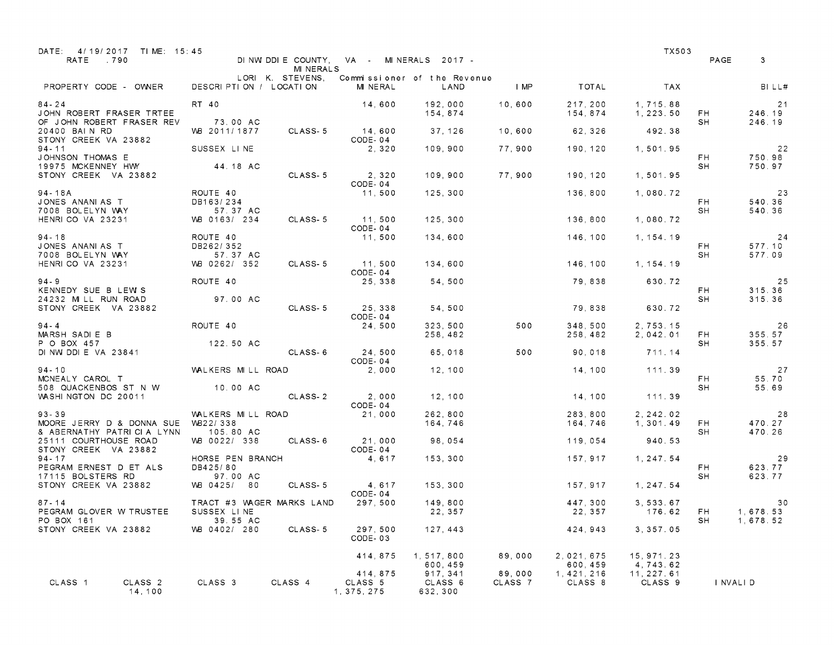| DATE: 4/19/2017 TIME: 15:45<br>RATE<br>.790                                |                                          | MI NERALS        |                                    | DINWIDDIE COUNTY, VA - MINERALS 2017 - |                   |                         | TX503                   | PAGE        | 3                      |
|----------------------------------------------------------------------------|------------------------------------------|------------------|------------------------------------|----------------------------------------|-------------------|-------------------------|-------------------------|-------------|------------------------|
| PROPERTY CODE - OWNER                                                      | DESCRIPTION / LOCATION                   | LORI K. STEVENS, | MINERAL                            | Commissioner of the Revenue<br>LAND    | <b>IMP</b>        | TOTAL                   | <b>TAX</b>              |             | BILL#                  |
| $84 - 24$<br>JOHN ROBERT FRASER TRTEE<br>OF JOHN ROBERT FRASER REV         | RT 40<br>73.00 AC                        |                  | 14,600                             | 192,000<br>154,874                     | 10,600            | 217,200<br>154,874      | 1,715.88<br>1, 223.50   | - FH<br>SH  | 21<br>246.19<br>246.19 |
| 20400 BAIN RD<br>STONY CREEK VA 23882                                      | VVB 2011/1877                            | CLASS-5          | 14,600<br>CODE-04                  | 37, 126                                | 10,600            | 62,326                  | 492.38                  |             |                        |
| $94 - 11$<br>JOHNSON THOMAS E                                              | SUSSEX LINE                              |                  | 2,320                              | 109,900                                | 77,900            | 190,120                 | 1,501.95                | FH.         | 22<br>750.98           |
| 19975 MCKENNEY HWY<br>STONY CREEK VA 23882                                 | 44.18 AC                                 | CLASS-5          | 2,320<br>CODE-04                   | 109,900                                | 77,900            | 190,120                 | 1.501.95                | SH          | 750.97                 |
| 94-18A<br>JONES ANANIAS T                                                  | ROUTE 40<br>DB163/234                    |                  | 11,500                             | 125,300                                |                   | 136,800                 | 1,080.72                | FH.         | 23<br>540.36           |
| 7008 BOLELYN WAY<br>HENRICO VA 23231                                       | 57.37 AC<br>VVB 0163/ 234                | CLASS-5          | 11,500<br>CODE-04                  | 125,300                                |                   | 136,800                 | 1,080.72                | SH          | 540.36                 |
| $94 - 18$<br>JONES ANANIAS T                                               | ROUTE 40<br>DB262/352                    |                  | 11,500                             | 134,600                                |                   | 146,100                 | 1, 154, 19              | FH.         | 24<br>577.10           |
| 7008 BOLELYN WAY<br>HENRICO VA 23231                                       | 57.37 AC<br>VMB 0262/ 352                | CLASS-5          | 11.500<br>CODE-04                  | 134,600                                |                   | 146,100                 | 1, 154, 19              | SH          | 577.09                 |
| $94 - 9$<br>KENNEDY SUE B LEW S                                            | ROUTE 40                                 |                  | 25, 338                            | 54.500                                 |                   | 79,838                  | 630.72                  | FH.         | 25<br>315.36           |
| 24232 MILL RUN ROAD<br>STONY CREEK VA 23882                                | 97.00 AC                                 | CLASS-5          | 25, 338<br>CODE-04                 | 54,500                                 |                   | 79,838                  | 630.72                  | SH          | 315.36                 |
| $94 - 4$<br>MARSH SADIE B                                                  | ROUTE 40                                 |                  | 24,500                             | 323, 500<br>258, 482                   | 500               | 348.500<br>258,482      | 2,753.15<br>2,042.01    | FH.         | 26<br>355.57           |
| P O BOX 457<br>DINWIDDIE VA 23841                                          | 122.50 AC                                | CLASS-6          | 24,500<br>CODE-04                  | 65,018                                 | 500               | 90,018                  | 711.14                  | SH          | 355.57                 |
| $94 - 10$<br>MCNEALY CAROL T                                               | WALKERS MILL ROAD                        |                  | 2,000                              | 12,100                                 |                   | 14,100                  | 111.39                  | FH.         | 27<br>55.70            |
| 508 QUACKENBOS ST N W<br>WASHINGTON DC 20011                               | 10.00 AC                                 | CLASS-2          | 2,000<br>CODE-04                   | 12,100                                 |                   | 14,100                  | 111.39                  | SH          | 55.69                  |
| $93 - 39$<br>MOORE JERRY D & DONNA SUE                                     | WALKERS MILL ROAD<br>WB22/338            |                  | 21,000                             | 262,800<br>164,746                     |                   | 283,800<br>164,746      | 2, 242.02<br>1, 301.49  | FH          | 28<br>470.27           |
| & ABERNATHY PATRICIA LYNN<br>25111 COURTHOUSE ROAD<br>STONY CREEK VA 23882 | 105.80 AC<br>VVB 0022/ 338               | CLASS-6          | 21,000<br>CODE-04                  | 98,054                                 |                   | 119,054                 | 940.53                  | SH          | 470.26                 |
| $94 - 17$<br>PEGRAM ERNEST D ET ALS                                        | HORSE PEN BRANCH<br>DB425/80             |                  | 4,617                              | 153,300                                |                   | 157.917                 | 1,247.54                | FH.         | 29<br>623.77           |
| 17115 BOLSTERS RD<br>STONY CREEK VA 23882                                  | 97.00 AC<br>VMB 0425/<br>80              | CLASS-5          | 4,617<br>CODE-04                   | 153,300                                |                   | 157,917                 | 1.247.54                | SH          | 623.77                 |
| $87 - 14$<br>PEGRAM GLOVER W TRUSTEE                                       | TRACT #3 WAGER MARKS LAND<br>SUSSEX LINE |                  | 297,500                            | 149.800<br>22, 357                     |                   | 447,300<br>22, 357      | 3, 533. 67<br>176.62    | FH 1,678.53 | 30                     |
| PO BOX 161<br>STONY CREEK VA 23882                                         | 39.55 AC<br>WB 0402/ 280                 | CLASS-5          | 297,500<br>CODE-03                 | 127, 443                               |                   | 424, 943                | 3, 357.05               | SH          | 1,678.52               |
|                                                                            |                                          |                  | 414, 875                           | 1, 517, 800<br>600, 459                | 89,000            | 2, 021, 675<br>600, 459 | 15, 971. 23<br>4,743.62 |             |                        |
| CLASS 1<br>CLASS <sub>2</sub><br>14,100                                    | CLASS 3                                  | CLASS 4          | 414, 875<br>CLASS 5<br>1, 375, 275 | 917, 341<br>CLASS 6<br>632, 300        | 89,000<br>CLASS 7 | 1, 421, 216<br>CLASS 8  | 11, 227.61<br>CLASS 9   | I NVALI D   |                        |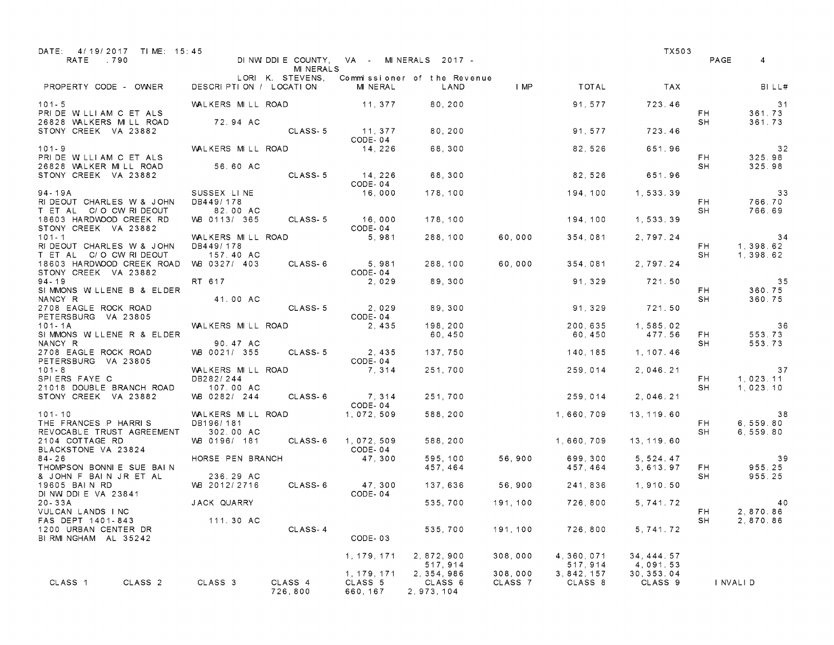| DATE: 4/19/2017 TIME: 15:45<br>RATE .790                                             |                                             | <b>MINERALS</b>    |                                    | DINWIDDIE COUNTY, VA - MINERALS 2017 -            |                    |                        | TX503                              | PAGE       | 4                            |
|--------------------------------------------------------------------------------------|---------------------------------------------|--------------------|------------------------------------|---------------------------------------------------|--------------------|------------------------|------------------------------------|------------|------------------------------|
| PROPERTY CODE - OWNER                                                                | DESCRIPTION / LOCATION                      | LORI K. STEVENS,   | MINERAL                            | Commissioner of the Revenue<br>LAND               | $\blacksquare$ MP  | TOTAL                  | <b>TAX</b>                         |            | BILL#                        |
| $101 - 5$<br>PRIDE WILLIAM C ET ALS                                                  | WALKERS MILL ROAD                           |                    | 11.377                             | 80,200                                            |                    | 91, 577                | 723.46                             | FH.        | 31<br>361.73                 |
| 26828 WALKERS MILL ROAD<br>STONY CREEK VA 23882                                      | 72.94 AC                                    | CLASS-5            | 11, 377<br>CODE-04                 | 80,200                                            |                    | 91, 577                | 723.46                             | SH         | 361.73                       |
| $101 - 9$<br>PRIDE WILLIAM C ET ALS                                                  | WALKERS MILL ROAD                           |                    | 14,226                             | 68,300                                            |                    | 82,526                 | 651.96                             | FH.        | 32<br>325.98                 |
| 26828 WALKER MILL ROAD<br>STONY CREEK VA 23882                                       | 56.60 AC                                    | CLASS-5            | 14.226<br>CODE-04                  | 68,300                                            |                    | 82.526                 | 651.96                             | SH         | 325.98                       |
| 94 - 19A<br>RI DEOUT CHARLES W & JOHN                                                | SUSSEX LINE<br>DB449/178                    |                    | 16,000                             | 178,100                                           |                    | 194,100                | 1,533.39                           | FH.        | 33<br>766.70                 |
| T ET AL C/O CW RIDEOUT<br>18603 HARDWOOD CREEK RD<br>STONY CREEK VA 23882            | 82.00 AC<br>VVB 0113/ 365                   | CLASS-5            | 16,000<br>CODE-04                  | 178,100                                           |                    | 194,100                | 1,533.39                           | SH         | 766.69                       |
| $101 - 1$<br>RI DEOUT CHARLES W & JOHN                                               | WALKERS MILL ROAD<br>DB449/178              |                    | 5,981                              | 288, 100                                          | 60,000             | 354,081                | 2,797.24                           | FH.        | 34<br>1, 398.62              |
| T ET AL C/O CW RIDEOUT<br>18603 HARDWOOD CREEK ROAD<br>STONY CREEK VA 23882          | 157.40 AC<br>VVB 0327/ 403                  | CLASS-6            | 5,981<br>CODE-04                   | 288, 100                                          | 60,000             | 354,081                | 2.797.24                           | SH         | 1, 398.62                    |
| $94 - 19$<br>SIMMONS WILLENE B & ELDER<br>NANCY R                                    | RT 617<br>41.00 AC                          |                    | 2,029                              | 89.300                                            |                    | 91, 329                | 721.50                             | FH.<br>SH  | 35<br>360.75<br>360.75       |
| 2708 EAGLE ROCK ROAD<br>PETERSBURG VA 23805                                          |                                             | CLASS-5            | 2,029<br>CODE-04                   | 89,300                                            |                    | 91, 329                | 721.50                             |            |                              |
| $101 - 1A$<br>SIMMONS WILLENE R & ELDER<br>NANCY R                                   | WALKERS MILL ROAD<br>90.47 AC               |                    | 2, 435                             | 198,200<br>60,450                                 |                    | 200,635<br>60,450      | 1,585.02<br>477.56                 | FH.<br>SH  | - 36<br>553.73<br>553.73     |
| 2708 EAGLE ROCK ROAD<br>PETERSBURG VA 23805                                          | WB 0021/ 355                                | CLASS 5            | 2, 435<br>CODE-04                  | 137,750                                           |                    | 140, 185               | 1, 107.46                          |            |                              |
| $101 - 8$<br>SPIERS FAYE C<br>21018 DOUBLE BRANCH ROAD                               | WALKERS MILL ROAD<br>DB282/244<br>107.00 AC |                    | 7, 314                             | 251,700                                           |                    | 259,014                | 2,046.21                           | FH.<br>SH  | 37<br>1,023.11<br>1,023.10   |
| STONY CREEK VA 23882<br>101-10                                                       | VVB 0282/ 244<br>WALKERS MILL ROAD          | CLASS-6            | 7, 314<br>CODE-04<br>1,072,509     | 251,700<br>588, 200                               |                    | 259,014<br>1,660,709   | 2,046.21<br>13, 119, 60            |            |                              |
| THE FRANCES P HARRIS<br>REVOCABLE TRUST AGREEMENT                                    | DB196/181<br>302.00 AC                      |                    |                                    |                                                   |                    |                        |                                    | FH.<br>SH  | 38<br>6, 559.80<br>6, 559.80 |
| 2104 COTTAGE RD<br>BLACKSTONE VA 23824<br>$84 - 26$                                  | VVB 0196/ 181<br>HORSE PEN BRANCH           | CLASS-6            | 1,072,509<br>CODE-04<br>47.300     | 588, 200<br>595,100                               | 56,900             | 1,660,709<br>699,300   | 13, 119.60<br>5, 524, 47           |            | 39                           |
| THOMPSON BONNIE SUE BAIN<br>& JOHN F BAIN JR ET AL                                   | 236.29 AC                                   |                    |                                    | 457, 464                                          |                    | 457,464                | 3,613.97                           | FH.<br>SH. | 955.25<br>955.25             |
| 19605 BAIN RD<br>DINW DDIE VA 23841<br>$20 - 33A$                                    | VAB 2012/2716<br>JACK QUARRY                | CLASS-6            | 47,300<br>CODE-04                  | 137,636<br>535,700                                | 56.900<br>191, 100 | 241.836<br>726,800     | 1,910.50<br>5, 741. 72             |            | 40                           |
| VULCAN LANDS INC<br>FAS DEPT 1401-843<br>1200 URBAN CENTER DR<br>BIRMINGHAM AL 35242 | 111.30 AC                                   | CLASS-4            | CODE-03                            | 535,700                                           | 191, 100           | 726,800                | 5, 741. 72                         | FH 1<br>SH | 2,870.86<br>2,870.86         |
|                                                                                      |                                             |                    | 1, 179, 171                        | 2, 872, 900                                       | 308,000            | 4, 360, 071<br>517.914 | 34, 444. 57                        |            |                              |
| CLASS 1<br>CLASS <sub>2</sub>                                                        | CLASS 3                                     | CLASS 4<br>726,800 | 1, 179, 171<br>CLASS 5<br>660, 167 | 517, 914<br>2, 354, 986<br>CLASS 6<br>2, 973, 104 | 308,000<br>CLASS 7 | 3, 842, 157<br>CLASS 8 | 4,091.53<br>30, 353. 04<br>CLASS 9 |            | I NVALI D                    |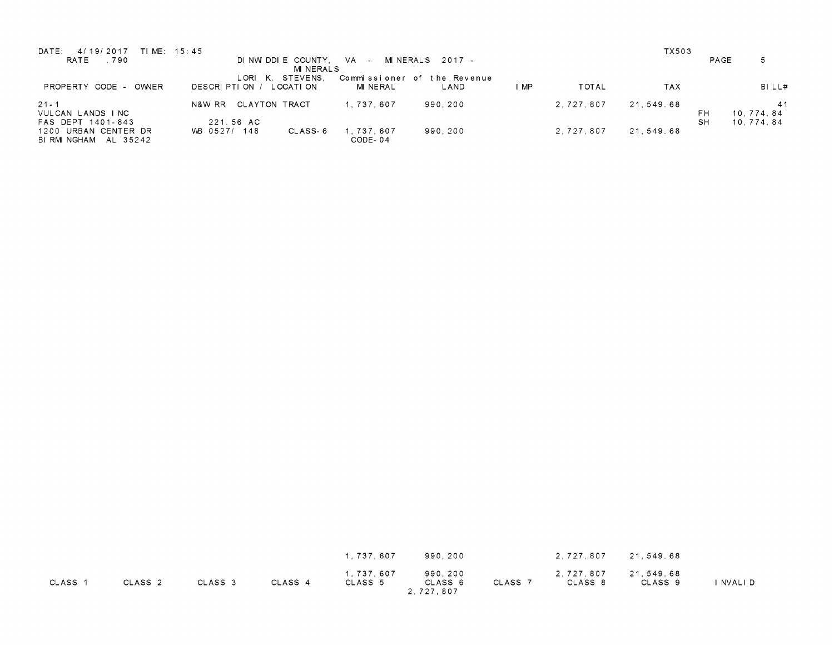| DATE:<br>TIME: 15:45<br>4/19/2017<br>RATE .790    | DINWIDDIE COUNTY,<br>MINERALS                    | VA - MINERALS 2017 -                           |                      | TX503<br>PAGE                 | 5                            |
|---------------------------------------------------|--------------------------------------------------|------------------------------------------------|----------------------|-------------------------------|------------------------------|
| OWNER<br>CODE -<br>PROPERTY                       | STEVENS.<br>L ORII<br>L OCATION<br>DESCRIPTION / | Commissioner of the Revenue<br>MINERAL<br>LAND | <b>TOTAL</b><br>I MP | TAX                           | BILL#                        |
| $21 - 1$<br>VULCAN LANDS INC<br>FAS DEPT 1401-843 | CLAYTON TRACT<br>N&W RR<br>221.56 AC             | 990.200<br>1.737.607                           | 2.727.807            | 21.549.68<br>FH.<br><b>SH</b> | 41<br>10,774.84<br>10.774.84 |
| 1200 URBAN CENTER DR<br>BIRMINGHAM AL 35242       | VVB 0527/ 148<br>CLASS 6                         | 1.737.607<br>990.200<br>CODE-04                | 2.727.807            | 21.549.68                     |                              |

|         |                    |         |         | 1.737.607            | 990,200                         |         | 2,727,807            | 21,549.68            |         |
|---------|--------------------|---------|---------|----------------------|---------------------------------|---------|----------------------|----------------------|---------|
| CLASS 1 | CLASS <sub>2</sub> | CLASS 3 | CLASS 4 | 1,737,607<br>CLASS 5 | 990,200<br>CLASS 6<br>2,727,807 | CLASS 7 | 2,727,807<br>CLASS 8 | 21,549.68<br>CLASS 9 | NVALI D |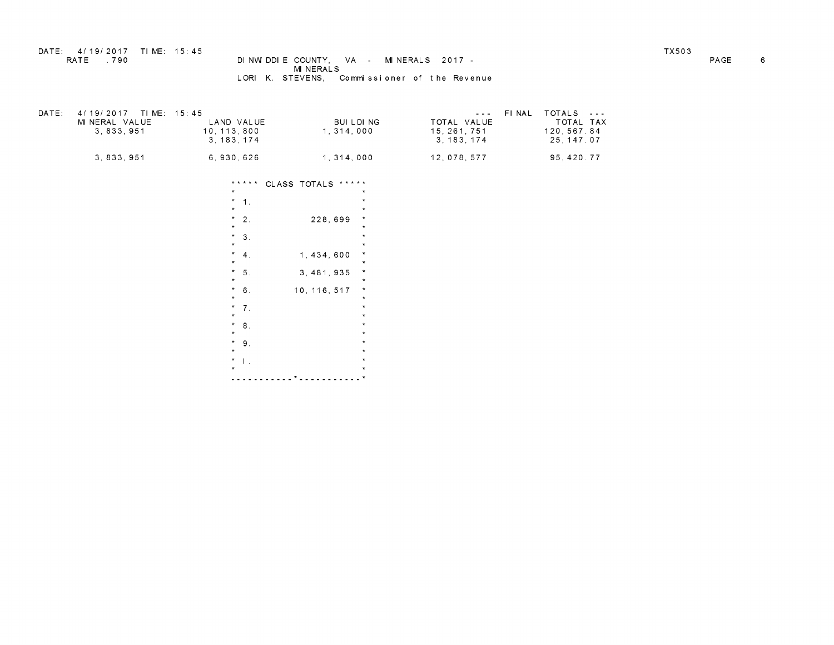## DATE: 4/19/2017 TIME: 15:45 TX503 RATE .790 DIE COUNTY, VA - MINERALS 2017 - PAGE 6 MINERALS LORI K. STEVENS, Commissioner of the Revenue

| DATE: | 4/19/2017 TIME: 15:45<br>MINERAL VALUE<br>3.833.951 | LAND VALUE<br>10.113.800<br>3.183.174 | BUILDING<br>1.314.000 | $\sim$ $\sim$ $\sim$ $\sim$ $\sim$<br>TOTAL VALUE<br>15.261.751<br>3.183.174 | FINAL TOTALS ---<br>TOTAL TAX<br>120.567.84<br>25, 147, 07 |
|-------|-----------------------------------------------------|---------------------------------------|-----------------------|------------------------------------------------------------------------------|------------------------------------------------------------|
|       | 3, 833, 951                                         | 6,930,626                             | 1, 314, 000           | 12,078,577                                                                   | 95, 420. 77                                                |

CLASSTOTALS \*\*\*\*\* 1. \*  $\begin{array}{ccc} * & 1. & * & * \\ * & 2. & 228,699 & * \\ * & * & * & * \end{array}$ 2. 228, 699  $\frac{1}{x}$ <br>3.  $\frac{1}{x}$  $\begin{array}{ccc} * & 3. & * \\ * & & 1,434,600 \\ * & & & 1,434,600 \end{array}$  $\frac{*}{*}$  5. 3,481,935  $\frac{*}{*}$  $\frac{*}{*}$  6. 10, 116, 517  $\frac{*}{*}$ 6.  $10, 116, 517$  \*<br>7. \*<br>\*  $\begin{array}{ccc} \n\frac{1}{2} & \frac{1}{2} & \frac{1}{2} & \frac{1}{2} & \frac{1}{2} & \frac{1}{2} & \frac{1}{2} & \frac{1}{2} & \frac{1}{2} & \frac{1}{2} & \frac{1}{2} & \frac{1}{2} & \frac{1}{2} & \frac{1}{2} & \frac{1}{2} & \frac{1}{2} & \frac{1}{2} & \frac{1}{2} & \frac{1}{2} & \frac{1}{2} & \frac{1}{2} & \frac{1}{2} & \frac{1}{2} & \frac{1}{2} & \frac{1}{2} & \frac{1}{2} & \frac{$  $\frac{1}{2}$ <br>9.  $\frac{1}{2}$ <br> $\frac{1}{2}$  $\begin{array}{ccc} 9. & & & * \\ & & * \\ \hline 1. & & & * \\ & & * \\ \end{array}$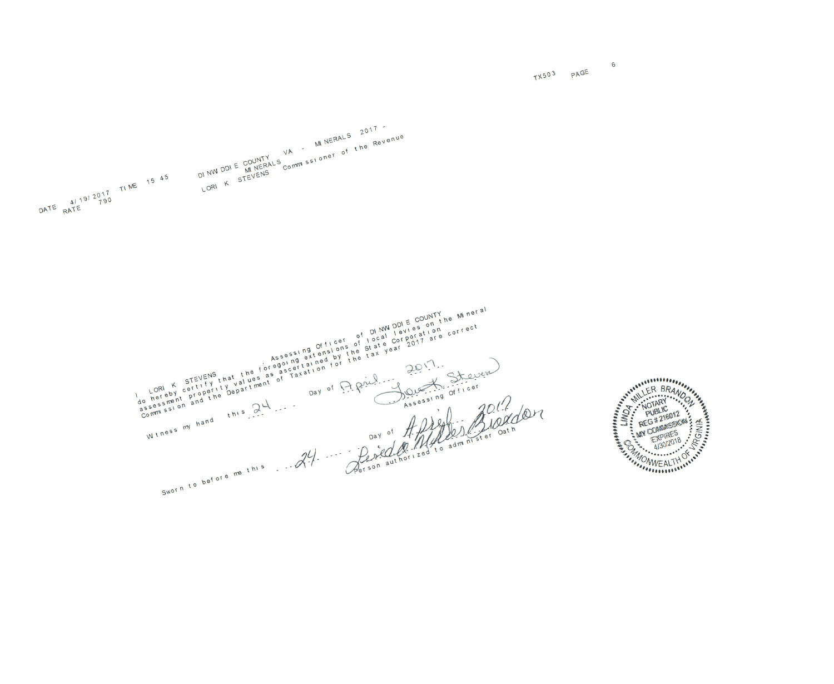$x$ 503 PAGE  $6$ 



t)<br>Non<br>Som<br>Com  $m \sin \theta$ on<br>Pong<br>Pong o<br>o  $\frac{y}{n}$  on o (  $\mathsf{s}^{\mathsf{i}}$ TE<br>Prai<br>1 efore  $nd$   $n^{1/3}$  $\epsilon$ IN N<br>COF<br>FN f-O yD t ver<br>er part! N  $m_{\text{t}}$  and  $m_{\text{t}}$  and  $m_{\text{t}}$ N Officet<br>Assessing officetions<br>
Agoing tained by the regard for the ascertation ALS,<br>regea<br>regea<br>r nN  $\mathcal{C}$  $\overline{ }$  $^{\mu_{\epsilon}}$  $n e$   $S$ m r<br>No la S n Re<br>
Oostat<br>
Oostat<br>
Oostat<br>
Oostat<br>
C<br>
Oostat<br>
P.  $\frac{1}{2}$ <br> $\frac{1}{2}$ <br> $\frac{1}{2}$ <br> $\frac{1}{2}$ <br> $\frac{1}{2}$ <br> $\frac{1}{2}$ <br> $\frac{1}{2}$ a<br>e O COUNT L e. roo. correct<br>Officer<br>Officer<br>Confirmer Cath  $\Omega$ Jk no or<br>O. , it is digital dirty a<br>e<br>C o r.... O  $\overline{)}$ 

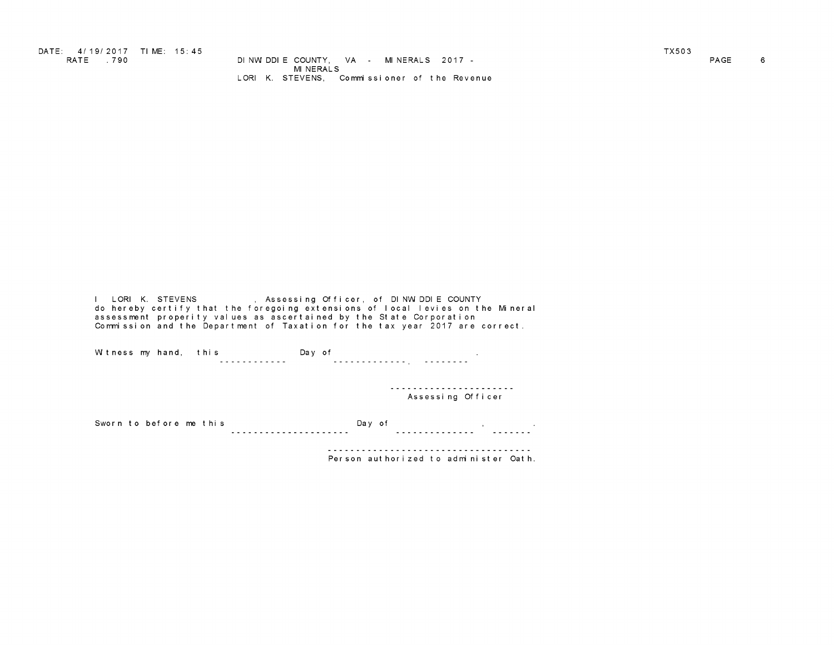DATE: 4/19/2017 TIME: 15:45<br>RATE .790 DINWIDDIECOUNTY, VA - MINERALS 2017 -<br>PAGE 6 DENSILE RESEALS MINERALS<br>LORIK. STEVENS, Commissioner of the Revenue

I LORIK. STEVENS , Assessing Officer, of DINWIDDIE COUNTY do hereby certify that the foregoing extensions of local levies on the Mineral assessment properity values as ascertained by the State Corporation Commission and the Department of Taxation for the tax year 2017 are correct.

Witnessmyhand, this Dayof .

----------------------<br>Assessing Officer

Sworn to before me this Day of parameters of the subset of the contract of the contract of the Dayof  $\sim$ 

Person authorized to administer Oath.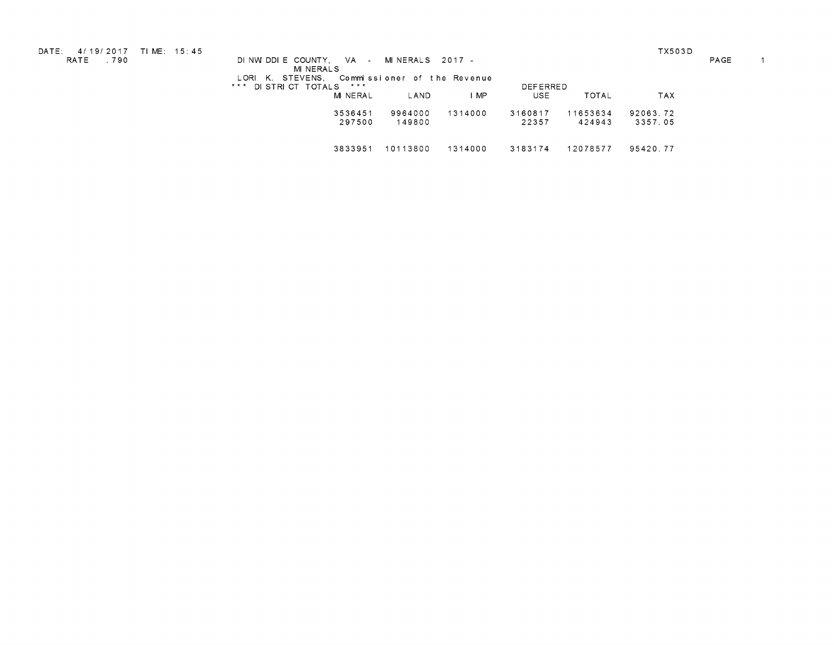DATE: 4/19/2017 TIME: 15:45 TX503D RATE .790 DINWIDDIECOUNTY, VA - MINERALS 2017 - PAGE 1 DINVIDUIE COONTT, VA - MINERALS 2017 -<br>MINERALS<br>LORIK. STEVENS, Commissioner of the Revenue

\*\*\* DISTRICT TOTALS \*\*\*<br>MINERAL LAND IMP USE USE TOTAL TAX 3536451 9964000 1314000 3160817 11653634 92063.72 297500 149800 22357 424943 3357.05 3833951 10113800 1314000 3183174 12078577 95420.77